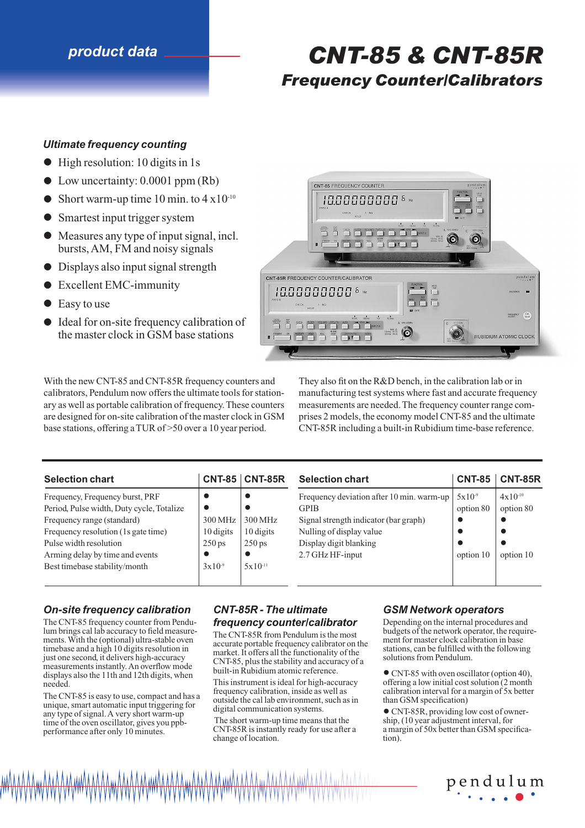# *product data CNT-85 & CNT-85R*

# *Frequency Counter/Calibrators*

## *Ultimate frequency counting*

- High resolution: 10 digits in 1s
- Low uncertainty: 0.0001 ppm (Rb)
- Short warm-up time 10 min. to  $4 \times 10^{-10}$
- Smartest input trigger system
- Measures any type of input signal, incl. bursts, AM, FM and noisy signals
- Displays also input signal strength
- Excellent EMC-immunity
- Easy to use
- Ideal for on-site frequency calibration of the master clock in GSM base stations

CNT-85 FREQUENCY COUNTER DECK TO THE SOUND TUTLE AND TO THE SENS TO VENTAL CNT-85R FREQUENCY COUNTER/CALIBRATOR pendulum 1000000000<sup>6</sup>  $\underbrace{\hspace{1cm}}^{\text{OECX}}$ **BANK** DATA (NTRY INTER  $\frac{\text{MUX A}}{12 \text{Vms} \cdot 50 \Omega}$ (n  $\sum_{n=1}^{\infty}$   $\sum_{n=1}^{\infty}$ **RUBIDIUM ATOMIC CLOCK** 

With the new CNT-85 and CNT-85R frequency counters and calibrators, Pendulum now offers the ultimate tools for stationary as well as portable calibration of frequency. These counters are designed for on-site calibration of the master clock in GSM base stations, offering a TUR of >50 over a 10 year period.

They also fit on the R&D bench, in the calibration lab or in manufacturing test systems where fast and accurate frequency measurements are needed. The frequency counter range comprises 2 models, the economy model CNT-85 and the ultimate CNT-85R including a built-in Rubidium time-base reference.

| <b>Selection chart</b>                    | <b>CNT-85</b>       | <b>CNT-85R</b><br><b>Selection chart</b> |                                           | <b>CNT-85</b> | <b>CNT-85R</b> |
|-------------------------------------------|---------------------|------------------------------------------|-------------------------------------------|---------------|----------------|
| Frequency, Frequency burst, PRF           |                     | G                                        | Frequency deviation after 10 min. warm-up | $5x10^{-9}$   | $4x10^{-10}$   |
| Period, Pulse width, Duty cycle, Totalize |                     |                                          | <b>GPIB</b>                               | option 80     | option 80      |
| Frequency range (standard)                | 300 MHz             | 300 MHz                                  | Signal strength indicator (bar graph)     |               |                |
| Frequency resolution (1s gate time)       | 10 digits           | 10 digits                                | Nulling of display value                  |               |                |
| Pulse width resolution                    | $250 \,\mathrm{ps}$ | $250 \,\mathrm{ps}$                      | Display digit blanking                    |               |                |
| Arming delay by time and events           |                     |                                          | 2.7 GHz HF-input                          | option 10     | option 10      |
| Best timebase stability/month             | $3x10^{-9}$         | $5x10^{-11}$                             |                                           |               |                |

#### *On-site frequency calibration*

The CNT-85 frequency counter from Pendulum brings cal lab accuracy to field measurements. With the (optional) ultra-stable oven timebase and a high 10 digits resolution in just one second, it delivers high-accuracy measurements instantly. An overflow mode displays also the 11th and 12th digits, when needed.

The CNT-85 is easy to use, compact and has a unique, smart automatic input triggering for any type of signal. A very short warm-up time of the oven oscillator, gives you ppbperformance after only 10 minutes.

# *CNT-85R - The ultimate*

#### *frequency counter/calibrator*

The CNT-85R from Pendulum is the most accurate portable frequency calibrator on the market. It offers all the functionality of the CNT-85, plus the stability and accuracy of a built-in Rubidium atomic reference.

This instrument is ideal for high-accuracy frequency calibration, inside as well as outside the cal lab environment, such as in digital communication systems.

The short warm-up time means that the CNT-85R is instantly ready for use after a change of location.

#### *GSM Network operators*

Depending on the internal procedures and budgets of the network operator, the requirement for master clock calibration in base stations, can be fulfilled with the following solutions from Pendulum.

• CNT-85 with oven oscillator (option 40), offering a low initial cost solution (2 month calibration interval for a margin of 5x better than GSM specification)

• CNT-85R, providing low cost of ownership, (10 year adjustment interval, for a margin of 50x better than GSM specification).

pendulum